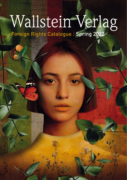# Wallstein Verlag

Foreign Rights Catalogue | Spring 2022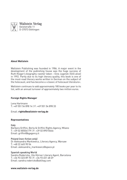

#### **About Wallstein**

Wallstein Publishing was founded in 1986. A major event in the development of the publishing house was the huge success of Ruth Klüger's biography »weiter leben – Eine Jugend« (Still alive) in 1992. Partly due to its high literary quality, this book is one of the most-read literary works written in German on the subject of the holocaust, and has become a »classic of holocaust literature«.

Wallstein continues to add approximately 180 books per year to its list, with an annual turnover of approximately two million euros.

#### **Foreign Rights Manager**

Lena Hartmann T: +49 551 54 898 14 | F: +49 551 54 898 33

Email: **rights@wallstein-verlag.de**

#### **Representatives**

Italy Barbara Griffini, Berla & Griffini Rights Agency, Milano T: +39 02 80504179 | F: +39 02 89010646 Email: griffini@bgagency.it

#### Poland (non-fiction only)

Dr Aleksandra Markiewicz, Literary Agency, Warsaw T: +48 22 665 90 54 Email: aleksandra\_markiewicz@space.pl

#### Spanish speaking World

Sandra Rodericks, Ute Körner Literary Agent, Barcelona T: +34 93 323 89 70 | F: +34 93 451 48 69 Email: sandra.rodericks@uklitag.com

**www.wallstein-verlag.de**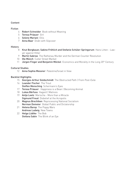#### Content

#### Fiction

- 4 Robert Schneider Book without Meaning
- 5 Teresa Präauer Girl
- 6 Selene Mariani Ellis
- 7 Anna Baar Divân with Slipcover

#### History

- 8 Knut Bergbauer, Sabine Fröhlich and Stefanie Schüler-Springorum Hans Litten Lawyer against Hitler
- 9 **Martin Sabrow** The Rathenau Murder and the German Counter Revolution
- 10 Ole Münch Cutler Street Market
- 11 Jürgen Finger and Benjamin Möckel Economics and Morality in the Long 20<sup>th</sup> Century

#### Cultural Studies

12 **Anna Sophia Messner** Palestine/Israel in View

#### Backlist Highlights

- 15 **Georges-Arthur Goldschmidt** The Obstructed Path | From Post-Exile
- 16 **Leander Fischer** The Trout Steffen Mensching Schermann's Eyes
- 17 Teresa Präauer Happiness is a Bean | Becoming Animal
- 18 Lukas Bärfuss Hagard | Malinois
- 19 **Antie Leetz** Marischa More than a Miracle **Sigmund Freud** Disbelief at the Acropolis
- 20 Magnus Brechtken Reprocessing National Socialism Norman Domeier Global Public and Dictatorship
- 21 **Helena Barop** The Poppy Wars Andreas Ludwig New Towns
- 22 Helga Lüdtke The Bob Stefana Sabin The Blink of an Eve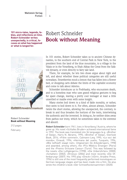Wallstein Verlag **Fiction** 

**101 micro-tales, legends, fables, and reflections on time. Robert Schneider writes unexpectedly, is critical, focuses on what has happened or what is longed for.**

## Robert Schneider **Book without Meaning**



Robert Schneider **Book without Meaning**

212 pages February

In 101 stories, Robert Schneider takes us to ancient Chinese dynasties, to the southern end of Central Park in New York, to the president from the land of the blue mountains, to a village in the Valais or in the Vorarlberg, to Shah Abbas the Great from the Safavid dynasty, or even directly to fairy tale land.

There, for example, he lets two shoes argue about right and left, and about whether these political categories are still useful nowadays. Strawberries mock a lemon that has fallen into a flower bed, or shopping carts debate the limits of the capitalist economy and come to talk about Adorno.

Schneider introduces us to Podrhasky, who encounters death, and to a homeless man who uses grand religious gestures to beg for spare change, leaving a pretty cool teenager at least a little unsettled or maybe even with some insight.

Many stories boil down to a kind of fable morality, or rather, they seem to boil down to it. For often, almost always, Schneider twists the short stories, allowing the unexpected, the contrary, to break in and thus broaden the horizon of the texts, intertwining the authentic and the invented. In doing so, he neither shies away from pathos nor irony, which he sometimes takes to the extreme and absurd.

Robert Schneider born 1961, lives in Vorarlberg / Austria, where he grew up. His novel »Schlafes Bruder« achieved international fame in 1992. The book was translated into 36 languages (e.g. »Brother of Sleep«, Harry N. Abrams, 1995; »Brother of Sleep«, Overlook Book, 2014; »Frére sommeil«, Calmann-Levy, 1995; »Le voci del mondo«, Einaudi, 1994; »Hermana del sueño, Tusquets, 1994; »Wie liefheeft slaapt niet«, Uitgeverijen De Arbeiderspers, 1998) and awarded, among others, the ›Prix Médicis Étranger‹ (Paris) and the ›Premio Grinzane Cavour‹ (Turin). This was followed by the novels »Die Luftgängerin« (1998), »Die Unberührten« (2000), »Schatten« (2002), »Kristus« (2004) and most recently »Die Offenbarung« (2007). His 1993 play »Dreck« (»Dirt«, Ariadne Press, 1996) is still one of the most frequently performed monologues on German-language stages and has been made into a film. He also wrote the children's book »Der Schneeflockensammler« (2020).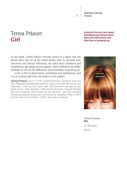Wallstein Verlag 5 Fiction

## Teresa Präauer **Girl**

#### **A playful literary text about belonging and demarcation, about the difficulties and hilarities of growing up.**

In this book, Teresa Präauer devotes herself to a figure that has almost been left out of her earlier books: girls. In personal reminiscences and literary reflections, she talks about childhood and competition, girl gangs and boy games. About affiliation and differentiation as well as the difficulties and serendipity of growing up.

»Girl« is full of observations, tenderness and exhilaration, and it is an intimate gift from the author to her readers.

Teresa Präauer, born in 1979, studied German Literature and Fine Arts. Wallstein Verlag published her novels »Für den Herrscher aus Übersee«, »Johnny und Jean« and »Oh Schimmi« as well as her great essay »Tier werden« (»Becoming Animal«, Seagull Books) and the storybook »Das Glück ist eine Bohne«. She has received numerous awards and prizes, including the ›aspekte Preis‹ in 2012 and the ›Erich Fried Preis‹ in 2017. She lives in Vienna.



Teresa Präauer **Girl** ca. 80 pages March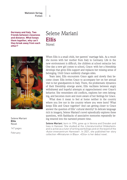Wallstein Verlag **Fiction** 

**Germany and Italy. Two friends between closeness and distance. What keeps them together, why can't they break away from each other?**

## Selene Mariani **Ellis Novel**



Selene Mariani **Ellis** Novel

147 pages

February

When Ellis is a small child, her parents' marriage fails. As a result she moves with her mother from Italy to Germany. Life in the new environment is difficult, the children at school ostracize her. One day a new girl comes to school, Grace: with her a friendship develops that gives Ellis support and replaces her missing sense of belonging. Until Grace suddenly changes sides.

Years later, Ellis encounters Grace again and slowly they become closer. Ellis invites Grace to accompany her on her annual visit to her grandparents in Italy. There, the problematic dynamics of their friendship emerge anew; Ellis vacillates between angry withdrawal and hopeful attempts at rapprochement over Grace's behavior. She remembers old conflicts, explores her own belonging, and becomes more and more aware of her feelings for Grace.

What does it mean to feel at home neither in the country where you live nor in the country where you were born? What keeps Ellis and Grace together? And can getting closer to Grace answer the question of Ellis' cultural identity? In delicate language rich in imagery, Selene Mariani's novel episodically explores these questions, with flashbacks of associative memories repeatedly being weaved into the narrated present time.

Selene Mariani, born in 1994, grew up in Verona and Dresden and lives in Hanover. She studied at the ›Literaturinstitut Hildesheim‹ and is active as a tutor of writing workshops and on the board of the ›Autor:innenzentrum Hannover‹. In 2021, she published her story collection »Miniaturen in Blau«. »Ellis« is her debut novel.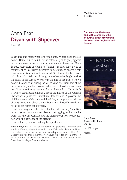Wallstein Verlag **Fiction** 

## Anna Baar **Divân with Slipcover** Stories

What does one mean when one says home? Where does one call home? Home is not found, but it catches up with you, appears in the rearview mirror as soon as you want to break out. From Zagreb, Klagenfurt or Vienna to Tehran it is often only a leap of thought. Anna Baar is less interested in locations and alleged sights than in what is secret and concealed. She looks closely, crosses pain thresholds, tells us of the grandmother who fought against the Nazis in the Second World War and had to flee from her own people into her cellar during the Yugoslavian fratricidal war, of the once beautiful, admired woman who, as a sick old woman, does not allow herself to be made up for her friends from Carinthia. It is always about being different, about the hatred of the German Carinthians against the Carinthian Slovenes and Yugoslavs, the childhood scent of almonds and dried figs, about pride and shame of one's homeland, about the realization that beautiful words are not good for naming the terrible.

At times angry, at other times tender and cheerful, Anna Baar writes against her own speechlessness, struggling to find precise words for the unspeakable and the glossed-over. Her preoccupation with the past aims at the present.

A profound, political and highly topical book.

Anna Baar, born 1973 in Zagreb (former Yugoslavia). Childhood and youth in Vienna, Klagenfurt and on the Dalmatian Island of Brac. Her debut novel »Die Farbe des Granatapfels« was on the ›ORF Bestenliste‹ for three months, her novel »Nil« for two months. In 2020 she was awarded the ›Humbert-Fink-Literaturpreis‹. Anna Baar lives in Klagenfurt and Vienna.

**Stories about the foreign and at the same time the beautiful, about growing up between cultures, home and longing.**



Anna Baar **Divân with slipcover** Stories

ca. 150 pages March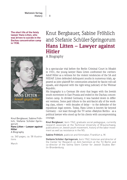**The short life of the feisty lawyer Hans Litten, who was driven to suicide in the Dachau concentration camp in 1938.**



Knut Bergbauer, Sabine Fröhlich, Stefanie Schüler-Springorum **Hans Litten – Lawyer against Hitler** A Biography

ca. 360 pages, ca. 58 illustrations

March

## Knut Bergbauer, Sabine Fröhlich and Stefanie Schüler-Springorum **Hans Litten – Lawyer against Hitler**

A Biography

8

In a spectacular trial before the Berlin Criminal Court in Moabit in 1931, the young lawyer Hans Litten confronted the »writer« Adolf Hitler as a witness for the violent tendencies of the SA and NSDAP. Litten defended delinquent youths in numerous trials, appeared as joint plaintiff for communists attacked by fascist roll-call squads, and disputed with the right-wing judiciary of the Weimar Republic.

His biography is a German life story that began with the Jewish youth movement in East Prussia and ended in the Dachau concentration camp. In divided Germany, it was handed down in different versions. Some paid tribute to the anti-fascist ally of the working class, others – with decades of delay – to the defender of the republican legal system. Today, Hans Litten is known far beyond Germany – not least through the TV series »Babylon Berlin« - as a political lawyer who stood up for his clients with uncompromising courage.

Knut Bergbauer, born 1962, graduate social pedagogue, currently research associate at the Technical University of Braunschweig, publications on Jewish youth movement, history of the labor movement as well as resistance in the NS.

Sabine Fröhlich, publicist and filmmaker, Frankfurt a. M.

Stefanie Schüler-Springorum, born 1962, historian and director of the Center for Research on Anti-Semitism at the TU Berlin and co-director of the Selma Stern Center for Jewish Studies Berlin-Brandenburg.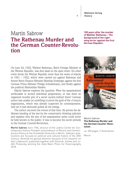Wallstein Verlag History

## Martin Sabrow **The Rathenau Murder and the German Counter-Revolution**

**100 years after the murder of Walther Rathenau - The background of the rightwing terror against the first German Republic.**

On June 24, 1922, Walther Rathenau, Reich Foreign Minister of the Weimar Republic, was shot dead on the open street. No other event shook the Weimar Republic more than the series of attacks in 1921 / 1922, which were carried out against Rathenau and former Reich Finance Minister Matthias Erzberger, against the first German Prime Minister Philipp Scheidemann, and finally against the publicist Maximilian Harden.

Martin Sabrow explores the question: Were the assassinations attributable to incited individual perpetrators, or was there an organized murder plot of a secret society behind them? German justice was unable (or unwilling) to prove the guilt of the »Consul« organization, which was already suspected by contemporaries. And yet it had obviously pulled all the strings.

The author uncovers the events of that time. He proves the deliberate bending of the law by the conservative thinking judiciary and explains why the aim of the assassination series could never be fully known to the public: It was to become the secret prelude to the German Counter-Revolution.

Martin Sabrow, born 1954, director of the Leibniz Center for Contemporary History Potsdam and professor of Recent and Contemporary History at the Humboldt University in Berlin. Sabrow's publications are focused on political and cultural history of the 20th Century. Recently he gained attention because of his research on Karl Liebknecht, published together with Dominik Juhnke and Judith Prokarsky, winning the ›Golo Mann Preis‹ for Historiography 2018.



#### Martin Sabrow **The Rathenau Murder and the German Counter-Revolution**

ca. 320 pages, 5 illustrations March

## 9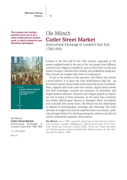10 Wallstein Verlag History

**The London old-clothes market turns out to be a lively multicultural contact zone, in which networks and identities developed.**



#### Ole Münch **Cutler Street Market**

Intercultural Exchange in London's East End 1780-1850

ca. 368 pages

March

# Ole Münch **Cutler Street Market**

Intercultural Exchange in London's East End 1780-1850

London in the first half of the 19th century: especially in the poorer neighborhoods in the east of the city, people from different countries and religions crowded in, such as Jews from Central and Eastern Europe, Catholics from Ireland, and established Anglicans. How should one imagine their form of coexistence?

To get to the bottom of this question, Ole Münch has written a micro-history. It is about the then world-famous Rag Fair - an old-clothes market whose trade routes stretched across continents. Here, migrants and locals came into contact, argued about Jewish and Irish stereotypes, entered into dynamics of clientelism, and forged political alliances. Ethnicity and religion played an important role in many of these processes. At the same time, however, the market offered good reasons to disregard ethnic boundaries and to socially form across them. Ole Münch ties his observations to debates in historiography, sociology, and ethnology. His study provides an insight into scarcely explored areas of economic, political and legal history of a dazzling metropolis, whose social life the author consistently examines »from below«.

**Ole Münch**, born 1982, research associate at the German Historical Institute, London. ›Wolfgang J. Mommsen-Preis‹ of the German Historical Institute London 2020, ›Preis der Stadt Konstanz zur Förderung des wissenschaftlichen Nachwuchses an der Universität Konstanz‹ 2020.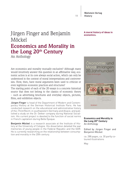Wallstein Verlag History

11

## Jürgen Finger and Benjamin Möckel **Economics and Morality in the Long 20th Century** An Anthology

Are economics and morality mutually exclusive? Although many would intuitively answer this question in an affirmative way, economic action is at its core always social action, which can only be understood in the context of moral interpretations and controversies. How, then, have moral arguments been used to criticize or even legitimize economic practices and structures?

The starting point of each of the 20 essays is a concrete historical source that does not belong to the classics of economic theory – such as advertising brochures and everyday objects, pictures, films, and exhibition objects.

Jürgen Finger is head of the Department of Modern and Contemporary History at the German Historical Institute Paris. He has conducted research on the educational and administrative history of the ›Third Reich‹ in southwestern Germany and Alsace, and published a study on the Dr. Oetker company during National Socialism. His current project is devoted to the function of social norms in French capitalism during Belle Époque.

Benjamin Möckel is a research associate at the Institute of History at the University of Cologne. His dissertation detailed the war memories of young people in the Federal Republic and the GDR. He is currently researching on the relationship between consumption and morality in the 20th century.

#### **A moral history of ideas in economics.**



#### **Economics and Morality in the Long 20th Century** An Anthology

Edited by Jürgen Finger and Benjamin Möckel

ca. 288 pages, ca. 30 partly coloured illustrations

May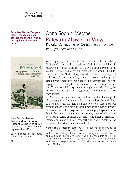12

**Forgotten Works: Ten german-jewish female photographers and their visual perception of Palestine/ Israel.**



Anna Sophia Messner **Palestine/Israel in View** Pictorial Geographies of German-Jewish Women Photographers after 1933

ca. 432 pages, ca 150 partly colored illustrations

May

## Anna Sophia Messner **Palestine/Israel in View**

Pictorial Geographies of German-Jewish Women Photographers after 1933

Women photographers such as Alice Hausdorff, Ellen Auerbach, Liselotte Grschebina, Lou Landauer Marli Shamir, and Ricarda Schwerin and others were part of the avant-garde currents of the Weimar Republic and played a significant role in shaping it. Under the threat of the Nazi regime, they left Germany and emigrated to Palestine/Israel, where they managed to continue their photographic work under extremely deprived circumstances. The photographs illustrate forgotten and unknown female perspectives on the Weimar Republic, experiences of flight and exile during the Nazi era, and the nation-building process in Palestine and the early state of Israel.

But they also show an art and cultural transfer of avant-garde photography that the women photographers brought with them to Palestine/Israel and translated into new conditions there. For reasons of gender and exile, the significant artistic lives and works of these women photographers have been largely forgotten. Anna Sophia Messner has uncovered the estates, some of which have been lost, in terms of material aesthetics and history, raising new research questions and impulses, particularly with regard to the relevance of previously marginalized voices.

Anna Sophia Messner, born 1981, is a research assistant at the Institute of Art History at LMU Munich in the field of Jewish art and cultural history. She studied Art History and Jewish History and Culture in Munich and Paris, was a PhD candidate at the Max Planck Institute in Florence -, and completed Language Studies and research stays in Israel. In 2020, she received her doctorate from LMU Munich.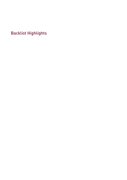Backlist Highlights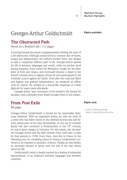## Georges-Arthur Goldschmidt

**Rights available**

## **The Obstructed Path**

Novel on a Brother's life | 111 pages

A moving literary document compassionately retelling the story of a life obstructed. Although connected by a common fate of threat, escape and displacement, the author's brother Erich was obliged to take a completely different path in life. Georges-Arthur spends his life in between languages and words, while his brother lived among weapons. Erich joined the Résistance, fought for the liberation of Paris and Alsace, and eventually became a major in the French colonial army in Algeria, where he even participated in the Generals' putsch against de Gaulle. Even after the coup had failed and Algeria was granted independence, he remained an officer until he retired. He worked as a low-profile employee at Crédit Agricole for many years afterwards.

Georges-Arthur kept memories of his brother's life buried for decades, until a birthday letter finally brought them to the surface.

## **From Post-Exile**

88 pages

Georges-Arthur Goldschmidt is known for his memorable Holocaust literature. With an expressive power, he tells the story of a child who has fallen victim to the arbitrary actions and anti-Semitic persecution of the Nazi dictatorship. As the son of a Jewish family that had converted to Protestantism in the  $19<sup>th</sup>$  century, he was in grave danger in Germany. For this reason, the ten-yearold Georges-Arthur and his older brother Erich were sent to Italy by their parents in 1938. From there, they fled to France in the following year. At a boarding school in Annecy, Goldschmidt continued to be exposed to traumatic violence. Finally, he was hidden by mountain farmers in Savoy until the end of the war, which saved his life.

Goldschmidt's work is deeply marked by a feeling of existential disorientation, of an existence between languages and between countries.

#### **Rights sold:**

- · French: Éditions Verdier
- · Italian: Casa Editrice Giuntina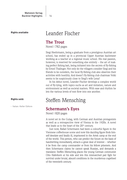## **Rights available** Leander Fischer

## **The Trout**

Novel | 782 pages

Siegi Heehrmann, being a graduate from a prestigious Austrian art school, has ended up in a provincial Upper Austrian backwater working as a teacher at a regional music school. His real passion, however, is reserved for something else entirely – the art of making perfect fishing bait, being initiated into the secrets of fly-fishing by Ernstl Thalinger. Not only do the villagers consider Siegi and his friends to be outsiders, the local fly-fishing club also observes their activities with hostility. And doesn't fly-fishing club chairman Volki seems to be suspiciously close to Siegi's wife Lena?

In his debut novel, Leander Fischer develops a complex world out of fly-tying, with topics suchs as art and imitation, nature and environment as well as societal matters. With ease and rhythm he lets the various levels of text flow into one another.

## Steffen Mensching

## **Schermann's Eyes**

Novel | 820 pages

A novel set in the Gulag, with German and Austrian protagonists as well as a retrospective view of Vienna in the 1920s. A novel that leads us to the heart of the  $20<sup>th</sup>$  century.

Just now, Rafael Schermann had been a colourful figure in the Viennese coffeehouse scene and now this dazzling figure finds himself desolate and fatally ill, imprisoned in the Artek camp at the end of the world. This person, who can predict the future on the basis of handwriting immediately, attracts a great deal of interest – whether it be from the camp commander or from his fellow prisoners. And then Schermann claims he cannot speak Russian, and demands a translator. Steffen Mensching places the young German communist Otto Haferkorn at his side and lets this mismatched pair fight for survival under brutal, absurd conditions in the murderous cogwheel of the twentieth century.

## **Rights sold:**

· Italian: Keller Editore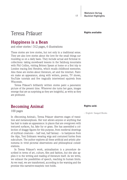## Teresa Präauer

## **Happiness is a Bean**

and other stories | 312 pages, 6 illustrations

These stories are love stories, but not only in a traditional sense. They are also love stories about the love for the small things surrounding us on a daily basis. They include actual and fictional recollections: taking snowboard lessons in the Salzburg mountains with Phil Collins, visiting Britney Spears at home or a first trip to London tracing Jimi Hendrix, which recalls childhood memories. Also these are stories about literature, art and the internet. Painters make an appearance, along with writers, poems, TV shows, YouTube tutorials and five tragically intertwined squirrels from Wisconsin.

Teresa Präauer's brilliantly written stories paint a panoramic picture of the present time. Wherever she turns her gaze, images emerge that are as surprising as they are insightful, as witty as they are profound.

## **Becoming Animal**

100 pages

In »Becoming Animal«, Teresa Präauer observes stages of transition and metamorphosis. Her text allows anyone or anything that has hair to make an appearance: in places that are overgrown with textured surfaces, fur, fake fur or grass. She has assembled a collection of shaggy figures for this purpose, from medieval drawings of mythical creatures – half real, half fantasy – to hairpieces from the Alps, Toni Erdmann wearing wigs and costumed furries from subculture. The author explores all these artificial and artistic phenomena in vivid pictorial observations and philosophical considerations.

In Teresa Präauer's work, animalisation is a procedure described in terms of art, culture, film and fashion, but she also applies it to the writing and reading of literature itself. As we write, we exhaust the possibilities of speech, reaching its human limits. As we read, we are transformed, according to the warning and the promise this narrative-essayistic text holds.

## **Rights sold:**

· English: Seagull Books

#### **Rights available**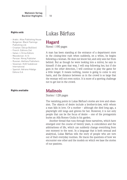#### **Rights sold:**

- · Arabic: Atlas Publishing House
- · Bulgarian: Black Flamingo
- Publishing Ltd.
- · Croatian: Edicije Božičević
- · French: Editions Zoé
- · Italian: L'Orma Editore
- · Macedonian: Ili-Ili
- · Persian: Nimaj Publisher
- · Russian: Aletheia Publishers · Slovenian: KUD Sodobnost
- International
- · Spanish: Adriana Hidalgo Editora S.A.

#### **Rights available Malinois**

## Lukas Bärfuss

## **Hagard**

Novel | 190 pages

A man has been standing at the entrance of a department store in the closing-time rush when suddenly, on a whim, he begins following a woman. He does not know her, and only sees her from behind. But as though he were looking into a mirror, he says to himself: if she goes that way, I will stop following her, but if she goes in the other direction, I will continue to play the game for a little longer. It means nothing, noone is going to come to any harm, and the distance between us in the crowd is so large that the woman will not even notice. It is more of a sporting challenge not to get lost in the crowd.

Stories | 128 pages

The vanishing points in Lukas Bärfuss's stories are love and obsession. The objects of desire include a brother-in-law, with whom a man falls in love. Or a mother – although she died long ago, a playwright still longs and grieves for her. However, it is not only people that can be the focus of desire – one of the protagonists buries an Alfa Romeo Giulia in his garden.

Another thread that runs through these narratives, which have emerged over the course of twenty years, is coincidence and the arbitrariness of life, which can suddenly change everything from one moment to the next. In a language that is both sensual and analytical, Lukas Bärfuss tells the story of people who are torn out of their everyday routines. He traces the questions of how we encounter one other and the models on which we base the stories of our passions.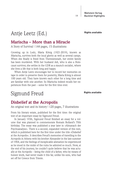## Antje Leetz (Ed.)

## **Rights available**

## **Marischa – More than a Miracle**

A Story of Survival | 144 pages, 15 illustrations

Growing up in Lodz, Maria König (1921-2019), known as Marischa, survives both the local ghetto as well as several camps. When she finally is freed from Theresienstadt, her entire family has been murdered. With her husband Adi, who is also a Holocaust survivor, she settles in the GDR as a staunch socialist, where she lives a life that is both long and happy.

When Antje Leetz encourages her to record her memories on tape in order to preserve them for posterity, Maria König is almost 100 years old. They have known each other for a long time and are familiar with one another. So Marischa indeed recalls her experiences from the past – some for the first time ever.

## Sigmund Freud

**Rights available**

## **Disbelief at the Acropolis**

An original text and its history | 120 pages, 7 illustrations

From his literary estate, published for the first time: the original text of an important essay by Sigmund Freud.

In January 1936, Sigmund Freud finished an essay for a volume that was planned to commemorate Romain Rolland's 70th birthday. The essay was published a year later in »Almanach der Psychoanalyse«. There is a second, expanded version of this text, which is published here for the first time under the title »Disbelief at the Acropolis«. It describes Freud's memories of travelling to the Acropolis in Athens with his brother Alexander in the late summer of 1904, and the feelings of inexplicable alienation he experienced as he stood in the midst of the ruins he admired so much. Now, at the end of his journey, he couldn't quite believe that he was actually at the Acropolis – being the child of a father, who by means of honest work, had never made it this far, unlike his sons, who had set off for Greece from Trieste.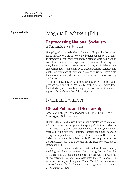**Rights available**

## Magnus Brechtken (Ed.)

## **Reprocessing National Socialism**

A Compendium | ca. 544 pages

Grappling with the collective national socialist past has had a profound influence on the history of the Federal Republic of Germany. It presented a challenge that many Germans were reluctant to accept. Attempts at legal reappraisal, the question of the perpetrators, the perspective of personal responsibility, political discussions and social suppression, along with autobiographical literature and public remembrance at memorial sites and museums: over more than seven decades, all this has formed a panorama of working on the past.

Up until now, however, no summarizing analysis on this complex has been published. Magnus Brechtken has assembled leading historians, who provide a compendium on the most important topics in form of more than 25 contributions.

## Norman Domeier

## **Global Public and Dictatorship.**

American Foreign Correspondents in the »Third Reich« | 656 pages, 50 illustrations

Hitler's »Third Reich« was never a hermetically sealed dictatorship. On the contrary  $-$  up until the spring of 1945, Nazi Germany was extremely active and well connected in the global media market. For the first time, Norman Domeier examines American foreign correspondents in Germany – from the rise of Hitler in the 1920s to the Nuremberg Trials in 1945/46. As political actors the Americans held a firm position in the Nazi polycracy up to December 1941:

Domeier's research reveals many state and World War secrets, shedding new light on the transatlantic and global relationships of the era. The US media maintained their ties with the wartime enemy between 1942 and 1945: Associated Press (AP) cooperated with the Nazi regime throughout World War II. This could offer a new explanation for the American media's ignorance of the murder of European Jews.

**Rights available**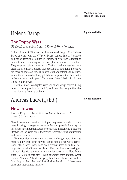## Helena Barop

## **The Poppy Wars**

US global drug policy from 1950 to 1979 | 496 pages

In her history of US American international drug policy, Helena Barop explains why the »War on Drugs« failed. The USA banned cultivation farming of opium in Turkey, only to then experience difficulties in procuring opium for pharmaceutical production. They stopped opium caravans in Thailand, which resulted in a dramatic rise in local prices, thus creating an additional incentive for growing more opium. They sent Vietnam veterans to Mexico, where these showed military pilots how to spray opium fields with herbicides using helicopters. Thirty years later, Mexico is still perishing in a drug war.

Helena Barop investigates why and when drugs started being perceived as a problem in the US, and how the drug authorities have tried to solve this problem.

## Andreas Ludwig (Ed.)

**Rights available**

## **New Towns**

From a Project of Modernity to Authentication | 160 pages, 50 illustrations

New Towns are expressions of utopia: they were intended to eliminate housing shortage in war-torn Europe, provide living space for large-scale industrialisation projects and implement a modern lifestyle. At the same time, they were representations of authority and spatial control.

However, due to structural and social change, new cities age more rapidly than other towns. While some cities were demolished, other New Towns have been reconstructed as cultural heritage sites or rebuilt in other places. The contributions making up this book describe the transformational process of the New Town since 1945 up to this day – with examples from France, Great Britain, Albania, Poland, Hungary, Israel and China – as well as focussing on the urban and historical authenticity of these new cities and their innate histories.

**Rights available**